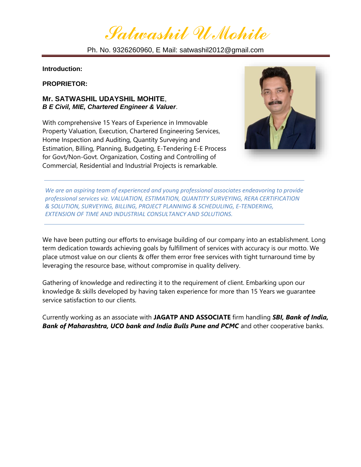*Satwashil U Mohite*

Ph. No. 9326260960, E Mail: satwashil2012@gmail.com

**Introduction:**

**PROPRIETOR:** 

### **Mr. SATWASHIL UDAYSHIL MOHITE**, *B E Civil, MIE, Chartered Engineer & Valuer*.

With comprehensive 15 Years of Experience in Immovable Property Valuation, Execution, Chartered Engineering Services, Home Inspection and Auditing, Quantity Surveying and Estimation, Billing, Planning, Budgeting, E-Tendering E-E Process for Govt/Non-Govt. Organization, Costing and Controlling of Commercial, Residential and Industrial Projects is remarkable.



*We are an aspiring team of experienced and young professional associates endeavoring to provide professional services viz. VALUATION, ESTIMATION, QUANTITY SURVEYING, RERA CERTIFICATION & SOLUTION, SURVEYING, BILLING, PROJECT PLANNING & SCHEDULING, E-TENDERING, EXTENSION OF TIME AND INDUSTRIAL CONSULTANCY AND SOLUTIONS.*

We have been putting our efforts to envisage building of our company into an establishment. Long term dedication towards achieving goals by fulfillment of services with accuracy is our motto. We place utmost value on our clients & offer them error free services with tight turnaround time by leveraging the resource base, without compromise in quality delivery.

Gathering of knowledge and redirecting it to the requirement of client. Embarking upon our knowledge & skills developed by having taken experience for more than 15 Years we guarantee service satisfaction to our clients.

Currently working as an associate with **JAGATP AND ASSOCIATE** firm handling *SBI, Bank of India, Bank of Maharashtra, UCO bank and India Bulls Pune and PCMC* and other cooperative banks.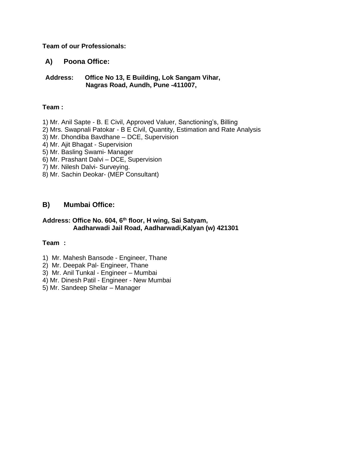#### **Team of our Professionals:**

### **A) Poona Office:**

 **Address: Office No 13, E Building, Lok Sangam Vihar, Nagras Road, Aundh, Pune -411007,**

#### **Team :**

1) Mr. Anil Sapte - B. E Civil, Approved Valuer, Sanctioning's, Billing

- 2) Mrs. Swapnali Patokar B E Civil, Quantity, Estimation and Rate Analysis
- 3) Mr. Dhondiba Bavdhane DCE, Supervision
- 4) Mr. Ajit Bhagat Supervision
- 5) Mr. Basling Swami- Manager
- 6) Mr. Prashant Dalvi DCE, Supervision
- 7) Mr. Nilesh Dalvi- Surveying.
- 8) Mr. Sachin Deokar- (MEP Consultant)

### **B) Mumbai Office:**

#### **Address: Office No. 604, 6 th floor, H wing, Sai Satyam, Aadharwadi Jail Road, Aadharwadi,Kalyan (w) 421301**

#### **Team :**

- 1) Mr. Mahesh Bansode Engineer, Thane
- 2) Mr. Deepak Pal- Engineer, Thane
- 3) Mr. Anil Tunkal Engineer Mumbai
- 4) Mr. Dinesh Patil Engineer New Mumbai
- 5) Mr. Sandeep Shelar Manager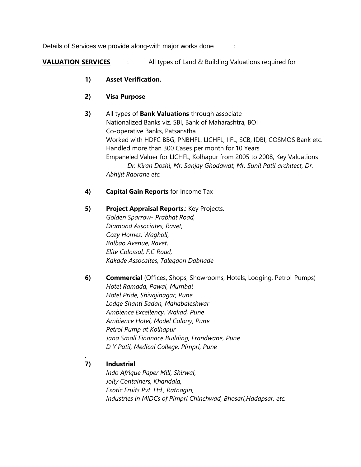Details of Services we provide along-with major works done :

**VALUATION SERVICES** : All types of Land & Building Valuations required for

- **1) Asset Verification.**
- **2) Visa Purpose**

**3)** All types of **Bank Valuations** through associate Nationalized Banks viz. SBI, Bank of Maharashtra, BOI Co-operative Banks, Patsanstha Worked with HDFC BBG, PNBHFL, LICHFL, IIFL, SCB, IDBI, COSMOS Bank etc. Handled more than 300 Cases per month for 10 Years Empaneled Valuer for LICHFL, Kolhapur from 2005 to 2008, Key Valuations *Dr. Kiran Doshi, Mr. Sanjay Ghodawat, Mr. Sunil Patil architect, Dr. Abhijit Raorane etc.*

## **4) Capital Gain Reports** for Income Tax

**5) Project Appraisal Reports**.: Key Projects. *Golden Sparrow- Prabhat Road, Diamond Associates, Ravet, Cozy Homes, Wagholi, Balbao Avenue, Ravet, Elite Colossal, F.C Road, Kakade Assocaites, Talegaon Dabhade*

**6) Commercial** (Offices, Shops, Showrooms, Hotels, Lodging, Petrol-Pumps) *Hotel Ramada, Pawai, Mumbai Hotel Pride, Shivajinagar, Pune Lodge Shanti Sadan, Mahabaleshwar Ambience Excellency, Wakad, Pune Ambience Hotel, Model Colony, Pune Petrol Pump at Kolhapur Jana Small Finanace Building, Erandwane, Pune D Y Patil, Medical College, Pimpri, Pune*

## **7) Industrial**

.

*Indo Afrique Paper Mill, Shirwal, Jolly Containers, Khandala, Exotic Fruits Pvt. Ltd., Ratnagiri, Industries in MIDCs of Pimpri Chinchwad, Bhosari,Hadapsar, etc.*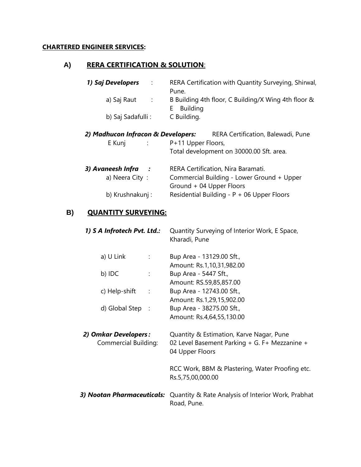## **CHARTERED ENGINEER SERVICES:**

## **A) RERA CERTIFICATION & SOLUTION**:

| 1) Saj Developers<br>$\therefore$         | RERA Certification with Quantity Surveying, Shirwal,<br>Pune.                |
|-------------------------------------------|------------------------------------------------------------------------------|
| a) Saj Raut<br>$\sim$ 1.                  | B Building 4th floor, C Building/X Wing 4th floor &<br><b>Building</b><br>E. |
| b) Saj Sadafulli :                        | C Building.                                                                  |
| 2) Madhucon Infracon & Developers:        | RERA Certification, Balewadi, Pune                                           |
| E Kunj<br>$\sim 10^{-10}$ .               | P+11 Upper Floors,                                                           |
|                                           | Total development on 30000.00 Sft. area.                                     |
| 3) Avaneesh Infra<br>$\ddot{\phantom{0}}$ | RERA Certification, Nira Baramati.                                           |
| a) Neera City:                            | Commercial Building - Lower Ground + Upper<br>Ground + 04 Upper Floors       |
| b) Krushnakunj:                           | Residential Building - P + 06 Upper Floors                                   |

# **B) QUANTITY SURVEYING:**

| 1) S A Infrotech Pvt. Ltd.:                  | Quantity Surveying of Interior Work, E Space,<br>Kharadi, Pune                                               |
|----------------------------------------------|--------------------------------------------------------------------------------------------------------------|
| a) U Link<br>$\sim 1000$                     | Bup Area - 13129.00 Sft.,<br>Amount: Rs.1,10,31,982.00                                                       |
| b) IDC<br>÷                                  | Bup Area - 5447 Sft.,<br>Amount: RS.59,85,857.00                                                             |
| c) Help-shift<br>$\sim$ 100 $\pm$            | Bup Area - 12743.00 Sft.,<br>Amount: Rs.1,29,15,902.00                                                       |
| d) Global Step :                             | Bup Area - 38275.00 Sft.,<br>Amount: Rs.4,64,55,130.00                                                       |
| 2) Omkar Developers:<br>Commercial Building: | Quantity & Estimation, Karve Nagar, Pune<br>02 Level Basement Parking + G. F+ Mezzanine +<br>04 Upper Floors |
|                                              | RCC Work, BBM & Plastering, Water Proofing etc.<br>Rs.5,75,00,000.00                                         |
|                                              | 3) Nootan Pharmaceuticals: Quantity & Rate Analysis of Interior Work, Prabhat<br>Road, Pune.                 |